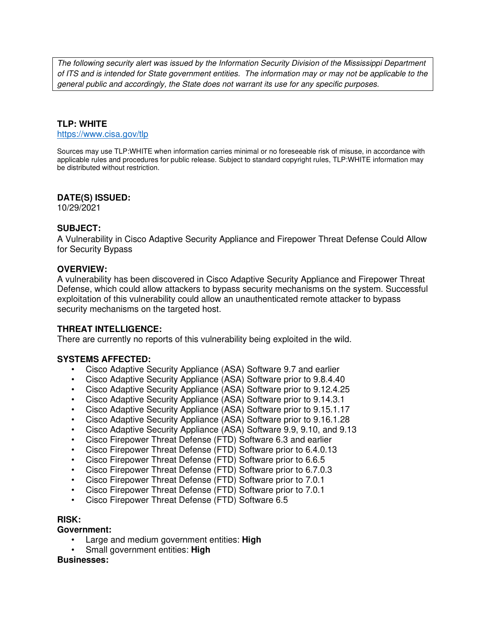The following security alert was issued by the Information Security Division of the Mississippi Department of ITS and is intended for State government entities. The information may or may not be applicable to the general public and accordingly, the State does not warrant its use for any specific purposes.

### **TLP: WHITE**

https://www.cisa.gov/tlp

Sources may use TLP:WHITE when information carries minimal or no foreseeable risk of misuse, in accordance with applicable rules and procedures for public release. Subject to standard copyright rules, TLP:WHITE information may be distributed without restriction.

### **DATE(S) ISSUED:**

10/29/2021

### **SUBJECT:**

A Vulnerability in Cisco Adaptive Security Appliance and Firepower Threat Defense Could Allow for Security Bypass

### **OVERVIEW:**

A vulnerability has been discovered in Cisco Adaptive Security Appliance and Firepower Threat Defense, which could allow attackers to bypass security mechanisms on the system. Successful exploitation of this vulnerability could allow an unauthenticated remote attacker to bypass security mechanisms on the targeted host.

#### **THREAT INTELLIGENCE:**

There are currently no reports of this vulnerability being exploited in the wild.

#### **SYSTEMS AFFECTED:**

- Cisco Adaptive Security Appliance (ASA) Software 9.7 and earlier
- Cisco Adaptive Security Appliance (ASA) Software prior to 9.8.4.40
- Cisco Adaptive Security Appliance (ASA) Software prior to 9.12.4.25
- Cisco Adaptive Security Appliance (ASA) Software prior to 9.14.3.1
- Cisco Adaptive Security Appliance (ASA) Software prior to 9.15.1.17
- Cisco Adaptive Security Appliance (ASA) Software prior to 9.16.1.28
- Cisco Adaptive Security Appliance (ASA) Software 9.9, 9.10, and 9.13
- Cisco Firepower Threat Defense (FTD) Software 6.3 and earlier
- Cisco Firepower Threat Defense (FTD) Software prior to 6.4.0.13
- Cisco Firepower Threat Defense (FTD) Software prior to 6.6.5
- Cisco Firepower Threat Defense (FTD) Software prior to 6.7.0.3
- Cisco Firepower Threat Defense (FTD) Software prior to 7.0.1
- Cisco Firepower Threat Defense (FTD) Software prior to 7.0.1
- Cisco Firepower Threat Defense (FTD) Software 6.5

#### **RISK:**

#### **Government:**

- Large and medium government entities: **High**
- Small government entities: **High**

#### **Businesses:**